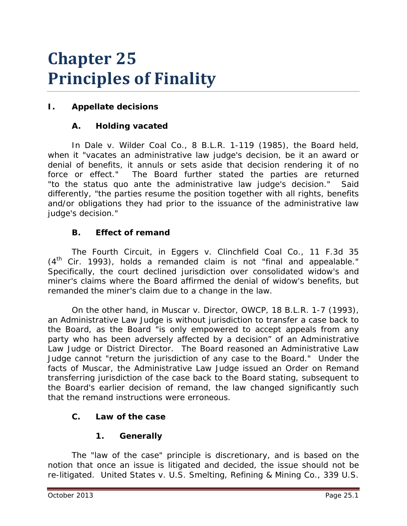# **Chapter 25 Principles of Finality**

# **I. Appellate decisions**

## **A. Holding vacated**

In *Dale v. Wilder Coal Co.*, 8 B.L.R. 1-119 (1985), the Board held, when it "vacates an administrative law judge's decision, be it an award or denial of benefits, it annuls or sets aside that decision rendering it of no force or effect." The Board further stated the parties are returned "to the *status quo ante* the administrative law judge's decision." Said differently, "the parties resume the position together with all rights, benefits and/or obligations they had prior to the issuance of the administrative law judge's decision."

## **B. Effect of remand**

The Fourth Circuit, in *Eggers v. Clinchfield Coal Co.*, 11 F.3d 35  $(4<sup>th</sup>$  Cir. 1993), holds a remanded claim is not "final and appealable." Specifically, the court declined jurisdiction over consolidated widow's and miner's claims where the Board affirmed the denial of widow's benefits, but remanded the miner's claim due to a change in the law.

On the other hand, in *Muscar v. Director, OWCP*, 18 B.L.R. 1-7 (1993), an Administrative Law Judge is without jurisdiction to transfer a case back to the Board, as the Board "is only empowered to accept appeals from any party who has been adversely affected by a decision" of an Administrative Law Judge or District Director. The Board reasoned an Administrative Law Judge cannot "return the jurisdiction of any case to the Board." Under the facts of *Muscar*, the Administrative Law Judge issued an Order on Remand transferring jurisdiction of the case back to the Board stating, subsequent to the Board's earlier decision of remand, the law changed significantly such that the remand instructions were erroneous.

## **C. Law of the case**

# **1. Generally**

The "law of the case" principle is discretionary, and is based on the notion that once an issue is litigated and decided, the issue should not be re-litigated. *United States v. U.S. Smelting, Refining & Mining Co.*, 339 U.S.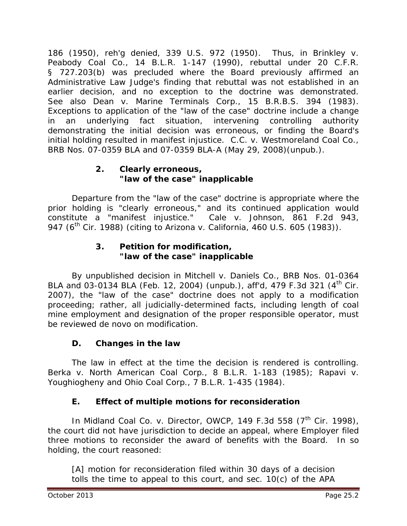186 (1950), *reh'g denied*, 339 U.S. 972 (1950). Thus, in *Brinkley v. Peabody Coal Co.*, 14 B.L.R. 1-147 (1990), rebuttal under 20 C.F.R. § 727.203(b) was precluded where the Board previously affirmed an Administrative Law Judge's finding that rebuttal was not established in an earlier decision, and no exception to the doctrine was demonstrated. *See also Dean v. Marine Terminals Corp.*, 15 B.R.B.S. 394 (1983). Exceptions to application of the "law of the case" doctrine include a change in an underlying fact situation, intervening controlling authority demonstrating the initial decision was erroneous, or finding the Board's initial holding resulted in manifest injustice. *C.C. v. Westmoreland Coal Co*., BRB Nos. 07-0359 BLA and 07-0359 BLA-A (May 29, 2008)(unpub.).

## **2. Clearly erroneous, "law of the case" inapplicable**

Departure from the "law of the case" doctrine is appropriate where the prior holding is "clearly erroneous," and its continued application would constitute a "manifest injustice." *Cale v. Johnson*, 861 F.2d 943, 947 (6th Cir. 1988) (citing to *Arizona v. California*, 460 U.S. 605 (1983)).

## **3. Petition for modification, "law of the case" inapplicable**

By unpublished decision in *Mitchell v. Daniels Co.*, BRB Nos. 01-0364 BLA and 03-0134 BLA (Feb. 12, 2004) (unpub.), *aff'd*, 479 F.3d 321 (4th Cir. 2007), the "law of the case" doctrine does not apply to a modification proceeding; rather, all judicially-determined facts, including length of coal mine employment and designation of the proper responsible operator, must be reviewed *de novo* on modification.

# **D. Changes in the law**

The law in effect at the time the decision is rendered is controlling. *Berka v. North American Coal Corp.*, 8 B.L.R. 1-183 (1985); *Rapavi v. Youghiogheny and Ohio Coal Corp.*, 7 B.L.R. 1-435 (1984).

# **E. Effect of multiple motions for reconsideration**

In *Midland Coal Co. v. Director, OWCP*, 149 F.3d 558 (7<sup>th</sup> Cir. 1998), the court did not have jurisdiction to decide an appeal, where Employer filed three motions to reconsider the award of benefits with the Board. In so holding, the court reasoned:

[A] motion for reconsideration filed within 30 days of a decision tolls the time to appeal to this court, and sec. 10(c) of the APA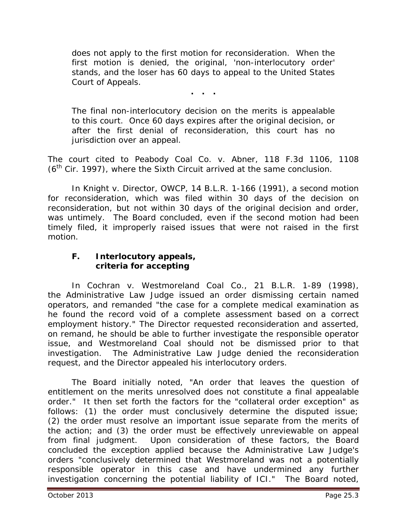does not apply to the first motion for reconsideration. When the first motion is denied, the original, 'non-interlocutory order' stands, and the loser has 60 days to appeal to the United States Court of Appeals.

**. . .**

The final non-interlocutory decision on the merits is appealable to this court. Once 60 days expires after the original decision, or after the first denial of reconsideration, this court has no jurisdiction over an appeal.

The court cited to *Peabody Coal Co. v. Abner,* 118 F.3d 1106, 1108  $(6<sup>th</sup>$  Cir. 1997), where the Sixth Circuit arrived at the same conclusion.

In *Knight v. Director, OWCP*, 14 B.L.R. 1-166 (1991), a second motion for reconsideration, which was filed within 30 days of the decision on reconsideration, but not within 30 days of the original decision and order, was untimely. The Board concluded, even if the second motion had been timely filed, it improperly raised issues that were not raised in the first motion.

#### **F. Interlocutory appeals, criteria for accepting**

In *Cochran v. Westmoreland Coal Co.*, 21 B.L.R. 1-89 (1998), the Administrative Law Judge issued an order dismissing certain named operators, and remanded "the case for a complete medical examination as he found the record void of a complete assessment based on a correct employment history." The Director requested reconsideration and asserted, on remand, he should be able to further investigate the responsible operator issue, and Westmoreland Coal should not be dismissed prior to that investigation. The Administrative Law Judge denied the reconsideration request, and the Director appealed his interlocutory orders.

The Board initially noted, "An order that leaves the question of entitlement on the merits unresolved does not constitute a final appealable order." It then set forth the factors for the "collateral order exception" as follows: (1) the order must conclusively determine the disputed issue; (2) the order must resolve an important issue separate from the merits of the action; and (3) the order must be effectively unreviewable on appeal from final judgment. Upon consideration of these factors, the Board concluded the exception applied because the Administrative Law Judge's orders "conclusively determined that Westmoreland was not a potentially responsible operator in this case and have undermined any further investigation concerning the potential liability of ICI." The Board noted,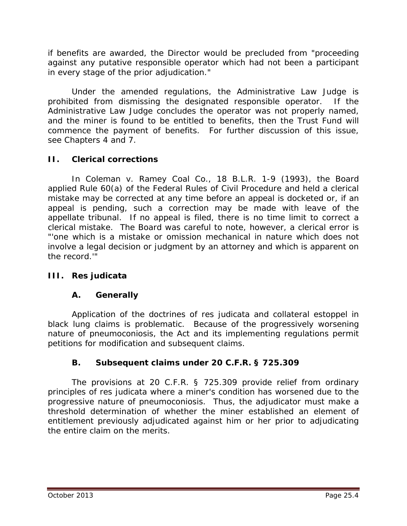if benefits are awarded, the Director would be precluded from "proceeding against any putative responsible operator which had not been a participant in every stage of the prior adjudication."

Under the amended regulations, the Administrative Law Judge is prohibited from dismissing the designated responsible operator. If the Administrative Law Judge concludes the operator was not properly named, and the miner is found to be entitled to benefits, then the Trust Fund will commence the payment of benefits. For further discussion of this issue, *see* Chapters 4 and 7.

## **II. Clerical corrections**

In *Coleman v. Ramey Coal Co.*, 18 B.L.R. 1-9 (1993), the Board applied Rule 60(a) of the Federal Rules of Civil Procedure and held a clerical mistake may be corrected at any time before an appeal is docketed or, if an appeal is pending, such a correction may be made with leave of the appellate tribunal. If no appeal is filed, there is no time limit to correct a clerical mistake. The Board was careful to note, however, a clerical error is "'one which is a mistake or omission mechanical in nature which does not involve a legal decision or judgment by an attorney and which is apparent on the record.'"

## **III. Res judicata**

## **A. Generally**

Application of the doctrines of *res judicata* and collateral estoppel in black lung claims is problematic. Because of the progressively worsening nature of pneumoconiosis, the Act and its implementing regulations permit petitions for modification and subsequent claims.

## **B. Subsequent claims under 20 C.F.R. § 725.309**

The provisions at 20 C.F.R. § 725.309 provide relief from ordinary principles of *res judicata* where a miner's condition has worsened due to the progressive nature of pneumoconiosis. Thus, the adjudicator must make a threshold determination of whether the miner established an element of entitlement previously adjudicated against him or her *prior* to adjudicating the entire claim on the merits.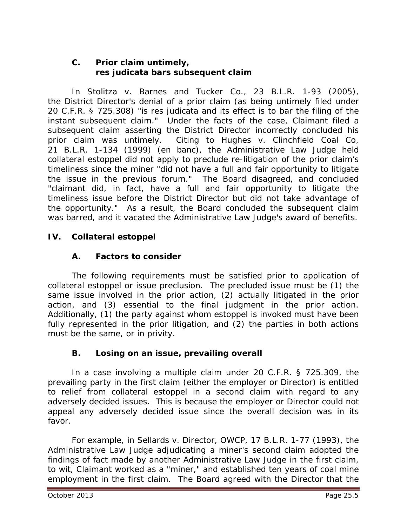#### **C. Prior claim untimely,** *res judicata* **bars subsequent claim**

In *Stolitza v. Barnes and Tucker Co.*, 23 B.L.R. 1-93 (2005), the District Director's denial of a prior claim (as being untimely filed under 20 C.F.R. § 725.308) "is *res judicata* and its effect is to bar the filing of the instant subsequent claim." Under the facts of the case, Claimant filed a subsequent claim asserting the District Director incorrectly concluded his prior claim was untimely. Citing to *Hughes v. Clinchfield Coal Co*, 21 B.L.R. 1-134 (1999) (en banc), the Administrative Law Judge held collateral estoppel did not apply to preclude re-litigation of the prior claim's timeliness since the miner "did not have a full and fair opportunity to litigate the issue in the previous forum." The Board disagreed, and concluded "claimant did, in fact, have a full and fair opportunity to litigate the timeliness issue before the District Director but did not take advantage of the opportunity." As a result, the Board concluded the subsequent claim was barred, and it vacated the Administrative Law Judge's award of benefits.

## **IV. Collateral estoppel**

## **A. Factors to consider**

The following requirements must be satisfied prior to application of collateral estoppel or issue preclusion. The precluded issue must be (1) the same issue involved in the prior action, (2) actually litigated in the prior action, and (3) essential to the final judgment in the prior action. Additionally, (1) the party against whom estoppel is invoked must have been fully represented in the prior litigation, and (2) the parties in both actions must be the same, or in privity.

## **B. Losing on an issue, prevailing overall**

In a case involving a multiple claim under 20 C.F.R. § 725.309, the prevailing party in the first claim (either the employer or Director) is entitled to relief from collateral estoppel in a second claim with regard to any adversely decided issues. This is because the employer or Director could not appeal any adversely decided issue since the overall decision was in its favor.

For example, in *Sellards v. Director, OWCP*, 17 B.L.R. 1-77 (1993), the Administrative Law Judge adjudicating a miner's second claim adopted the findings of fact made by another Administrative Law Judge in the first claim, *to wit*, Claimant worked as a "miner," and established ten years of coal mine employment in the first claim. The Board agreed with the Director that the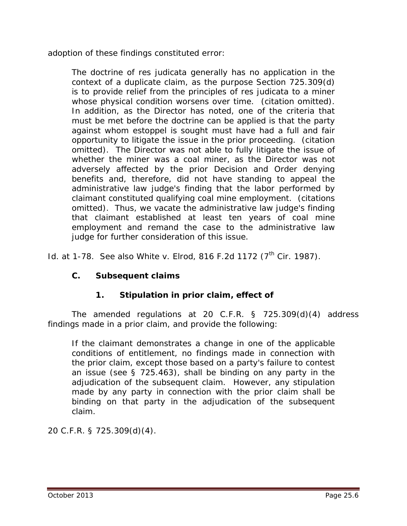adoption of these findings constituted error:

The doctrine of *res judicata* generally has no application in the context of a duplicate claim, as the purpose Section 725.309(d) is to provide relief from the principles of *res judicata* to a miner whose physical condition worsens over time. (citation omitted). In addition, as the Director has noted, one of the criteria that must be met before the doctrine can be applied is that the party against whom estoppel is sought must have had a full and fair opportunity to litigate the issue in the prior proceeding. (citation omitted). The Director was not able to fully litigate the issue of whether the miner was a coal miner, as the Director was not adversely affected by the prior Decision and Order denying benefits and, therefore, did not have standing to appeal the administrative law judge's finding that the labor performed by claimant constituted qualifying coal mine employment. (citations omitted). Thus, we vacate the administrative law judge's finding that claimant established at least ten years of coal mine employment and remand the case to the administrative law judge for further consideration of this issue.

*Id.* at 1-78. *See also White v. Elrod*, 816 F.2d 1172 (7<sup>th</sup> Cir. 1987).

#### **C. Subsequent claims**

#### **1. Stipulation in prior claim, effect of**

The amended regulations at 20 C.F.R. § 725.309(d)(4) address findings made in a prior claim, and provide the following:

If the claimant demonstrates a change in one of the applicable conditions of entitlement, no findings made in connection with the prior claim, except those based on a party's failure to contest an issue (see § 725.463), shall be binding on any party in the adjudication of the subsequent claim. However, any stipulation made by any party in connection with the prior claim shall be binding on that party in the adjudication of the subsequent claim.

20 C.F.R. § 725.309(d)(4).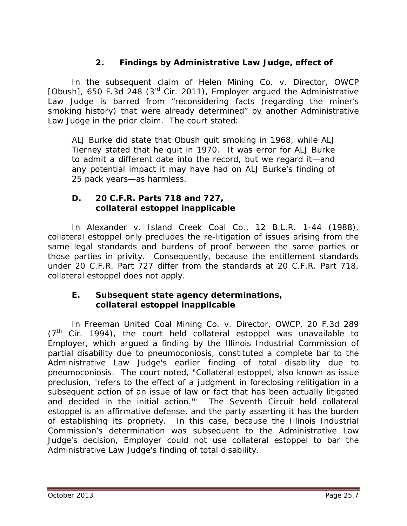## **2. Findings by Administrative Law Judge, effect of**

In the subsequent claim of *Helen Mining Co. v. Director, OWCP [Obush]*, 650 F.3d 248 (3rd Cir. 2011), Employer argued the Administrative Law Judge is barred from "reconsidering facts (regarding the miner's smoking history) that were already determined" by another Administrative Law Judge in the prior claim. The court stated:

ALJ Burke did state that Obush quit smoking in 1968, while ALJ Tierney stated that he quit in 1970. It was error for ALJ Burke to admit a different date into the record, but we regard it—and any potential impact it may have had on ALJ Burke's finding of 25 pack years—as harmless.

#### **D. 20 C.F.R. Parts 718 and 727, collateral estoppel inapplicable**

In *Alexander v. Island Creek Coal Co.*, 12 B.L.R. 1-44 (1988), collateral estoppel only precludes the re-litigation of issues arising from the same legal standards and burdens of proof between the same parties or those parties in privity. Consequently, because the entitlement standards under 20 C.F.R. Part 727 differ from the standards at 20 C.F.R. Part 718, collateral estoppel does not apply.

#### **E. Subsequent state agency determinations, collateral estoppel inapplicable**

In *Freeman United Coal Mining Co. v. Director, OWCP*, 20 F.3d 289  $(7<sup>th</sup>$  Cir. 1994), the court held collateral estoppel was unavailable to Employer, which argued a finding by the Illinois Industrial Commission of partial disability due to pneumoconiosis, constituted a complete bar to the Administrative Law Judge's earlier finding of total disability due to pneumoconiosis. The court noted, "Collateral estoppel, also known as issue preclusion, 'refers to the effect of a judgment in foreclosing relitigation in a subsequent action of an issue of law or fact that has been actually litigated and decided in the initial action.'" The Seventh Circuit held collateral estoppel is an affirmative defense, and the party asserting it has the burden of establishing its propriety. In this case, because the Illinois Industrial Commission's determination was subsequent to the Administrative Law Judge's decision, Employer could not use collateral estoppel to bar the Administrative Law Judge's finding of total disability.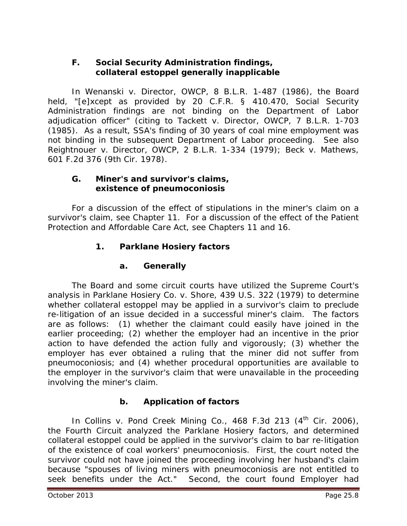#### **F. Social Security Administration findings, collateral estoppel generally inapplicable**

In *Wenanski v. Director, OWCP*, 8 B.L.R. 1-487 (1986), the Board held, "[e]xcept as provided by 20 C.F.R. § 410.470, Social Security Administration findings are not binding on the Department of Labor adjudication officer" (citing to *Tackett v. Director, OWCP*, 7 B.L.R. 1-703 (1985). As a result, SSA's finding of 30 years of coal mine employment was not binding in the subsequent Department of Labor proceeding. *See also Reightnouer v. Director, OWCP*, 2 B.L.R. 1-334 (1979); *Beck v. Mathews*, 601 F.2d 376 (9th Cir. 1978).

#### **G. Miner's and survivor's claims, existence of pneumoconiosis**

For a discussion of the effect of stipulations in the miner's claim on a survivor's claim, *see* Chapter 11. For a discussion of the effect of the Patient Protection and Affordable Care Act, *see* Chapters 11 and 16.

# **1.** *Parklane Hosiery* **factors**

## **a. Generally**

The Board and some circuit courts have utilized the Supreme Court's analysis in *Parklane Hosiery Co. v. Shore*, 439 U.S. 322 (1979) to determine whether collateral estoppel may be applied in a survivor's claim to preclude re-litigation of an issue decided in a successful miner's claim. The factors are as follows: (1) whether the claimant could easily have joined in the earlier proceeding; (2) whether the employer had an incentive in the prior action to have defended the action fully and vigorously; (3) whether the employer has ever obtained a ruling that the miner did not suffer from pneumoconiosis; and (4) whether procedural opportunities are available to the employer in the survivor's claim that were unavailable in the proceeding involving the miner's claim.

# **b. Application of factors**

In *Collins v. Pond Creek Mining Co.*, 468 F.3d 213 (4<sup>th</sup> Cir. 2006), the Fourth Circuit analyzed the *Parklane Hosiery* factors, and determined collateral estoppel could be applied in the survivor's claim to bar re-litigation of the existence of coal workers' pneumoconiosis. First, the court noted the survivor could not have joined the proceeding involving her husband's claim because "spouses of living miners with pneumoconiosis are not entitled to seek benefits under the Act." Second, the court found Employer had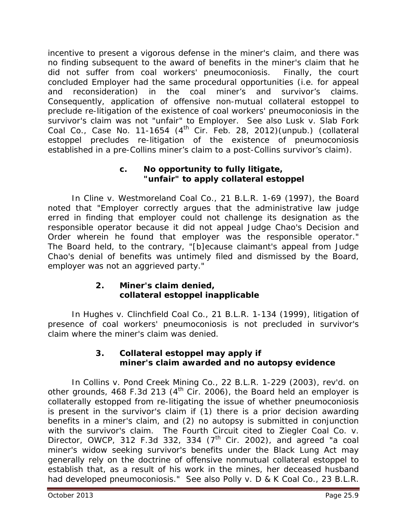incentive to present a vigorous defense in the miner's claim, and there was no finding subsequent to the award of benefits in the miner's claim that he did not suffer from coal workers' pneumoconiosis. Finally, the court concluded Employer had the same procedural opportunities (*i.e.* for appeal and reconsideration) in the coal miner's and survivor's claims. Consequently, application of offensive non-mutual collateral estoppel to preclude re-litigation of the existence of coal workers' pneumoconiosis in the survivor's claim was not "unfair" to Employer. *See also Lusk v. Slab Fork*  Coal Co., Case No. 11-1654 (4<sup>th</sup> Cir. Feb. 28, 2012)(unpub.) (collateral estoppel precludes re-litigation of the existence of pneumoconiosis established in a pre-*Collins* miner's claim to a post-*Collins* survivor's claim).

#### **c. No opportunity to fully litigate, "unfair" to apply collateral estoppel**

In *Cline v. Westmoreland Coal Co.*, 21 B.L.R. 1-69 (1997), the Board noted that "Employer correctly argues that the administrative law judge erred in finding that employer could not challenge its designation as the responsible operator because it did not appeal Judge Chao's *Decision and Order* wherein he found that employer was the responsible operator." The Board held, to the contrary, "[b]ecause claimant's appeal from Judge Chao's denial of benefits was untimely filed and dismissed by the Board, employer was not an aggrieved party."

#### **2. Miner's claim denied, collateral estoppel inapplicable**

In *Hughes v. Clinchfield Coal Co.*, 21 B.L.R. 1-134 (1999), litigation of presence of coal workers' pneumoconiosis is not precluded in survivor's claim where the miner's claim was denied.

#### **3. Collateral estoppel** *may* **apply if miner's claim awarded and no autopsy evidence**

In *Collins v. Pond Creek Mining Co.*, 22 B.L.R. 1-229 (2003), *rev'd. on other grounds*, 468 F.3d 213 (4<sup>th</sup> Cir. 2006), the Board held an employer is collaterally estopped from re-litigating the issue of whether pneumoconiosis is present in the survivor's claim if (1) there is a prior decision awarding benefits in a miner's claim, and (2) no autopsy is submitted in conjunction with the survivor's claim. The Fourth Circuit cited to *Ziegler Coal Co. v. Director, OWCP*, 312 F.3d 332, 334 (7<sup>th</sup> Cir. 2002), and agreed "a coal miner's widow seeking survivor's benefits under the Black Lung Act may generally rely on the doctrine of offensive nonmutual collateral estoppel to establish that, as a result of his work in the mines, her deceased husband had developed pneumoconiosis." *See also Polly v. D & K Coal Co.*, 23 B.L.R.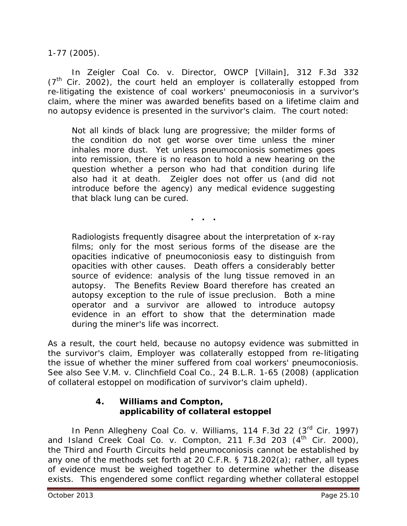1-77 (2005).

In *Zeigler Coal Co. v. Director, OWCP [Villain]*, 312 F.3d 332  $(7<sup>th</sup>$  Cir. 2002), the court held an employer is collaterally estopped from re-litigating the existence of coal workers' pneumoconiosis in a survivor's claim, where the miner was awarded benefits based on a lifetime claim and no autopsy evidence is presented in the survivor's claim. The court noted:

Not all kinds of black lung are progressive; the milder forms of the condition do not get worse over time unless the miner inhales more dust. Yet unless pneumoconiosis sometimes goes into remission, there is no reason to hold a new hearing on the question whether a person who had that condition during life also had it at death. Zeigler does not offer us (and did not introduce before the agency) any medical evidence suggesting that black lung can be cured.

**. . .**

Radiologists frequently disagree about the interpretation of x-ray films; only for the most serious forms of the disease are the opacities indicative of pneumoconiosis easy to distinguish from opacities with other causes. Death offers a considerably better source of evidence: analysis of the lung tissue removed in an autopsy. The Benefits Review Board therefore has created an autopsy exception to the rule of issue preclusion. Both a mine operator and a survivor are allowed to introduce autopsy evidence in an effort to show that the determination made during the miner's life was incorrect.

As a result, the court held, because no autopsy evidence was submitted in the survivor's claim, Employer was collaterally estopped from re-litigating the issue of whether the miner suffered from coal workers' pneumoconiosis. *See also See V.M. v. Clinchfield Coal Co.*, 24 B.L.R. 1-65 (2008) (application of collateral estoppel on modification of survivor's claim upheld).

#### **4.** *Williams and Compton,* **applicability of collateral estoppel**

In *Penn Allegheny Coal Co. v. Williams*, 114 F.3d 22 (3rd Cir. 1997) and *Island Creek Coal Co. v. Compton*, 211 F.3d 203 (4<sup>th</sup> Cir. 2000), the Third and Fourth Circuits held pneumoconiosis cannot be established by any one of the methods set forth at 20 C.F.R. § 718.202(a); rather, all types of evidence must be weighed together to determine whether the disease exists. This engendered some conflict regarding whether collateral estoppel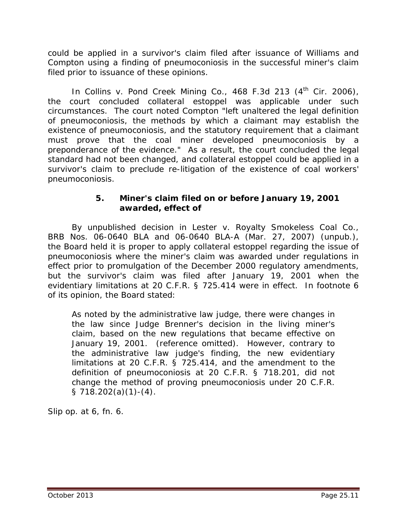could be applied in a survivor's claim filed after issuance of *Williams* and *Compton* using a finding of pneumoconiosis in the successful miner's claim filed prior to issuance of these opinions.

In *Collins v. Pond Creek Mining Co.*, 468 F.3d 213 (4<sup>th</sup> Cir. 2006), the court concluded collateral estoppel was applicable under such circumstances. The court noted *Compton* "left unaltered the legal definition of pneumoconiosis, the methods by which a claimant may establish the existence of pneumoconiosis, and the statutory requirement that a claimant must prove that the coal miner developed pneumoconiosis by a preponderance of the evidence." As a result, the court concluded the legal standard had not been changed, and collateral estoppel could be applied in a survivor's claim to preclude re-litigation of the existence of coal workers' pneumoconiosis.

#### **5. Miner's claim filed on or before January 19, 2001 awarded, effect of**

By unpublished decision in *Lester v. Royalty Smokeless Coal Co.*, BRB Nos. 06-0640 BLA and 06-0640 BLA-A (Mar. 27, 2007) (unpub.), the Board held it is proper to apply collateral estoppel regarding the issue of pneumoconiosis where the miner's claim was awarded under regulations in effect prior to promulgation of the December 2000 regulatory amendments, but the survivor's claim was filed after January 19, 2001 when the evidentiary limitations at 20 C.F.R. § 725.414 were in effect. In footnote 6 of its opinion, the Board stated:

As noted by the administrative law judge, there were changes in the law since Judge Brenner's decision in the living miner's claim, based on the new regulations that became effective on January 19, 2001. (reference omitted). However, contrary to the administrative law judge's finding, the new evidentiary limitations at 20 C.F.R. § 725.414, and the amendment to the definition of pneumoconiosis at 20 C.F.R. § 718.201, did not change the method of proving pneumoconiosis under 20 C.F.R.  $\S$  718.202(a)(1)-(4).

*Slip op.* at 6, fn. 6.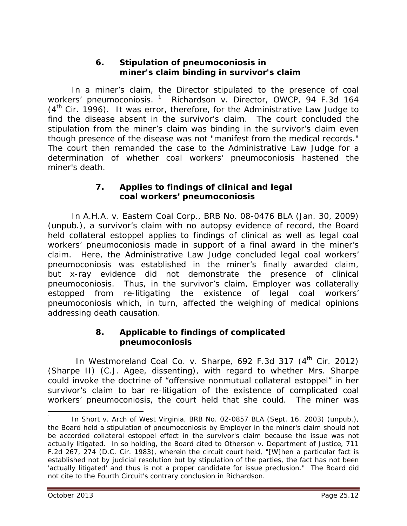#### **6. Stipulation of pneumoconiosis in miner's claim binding in survivor's claim**

In a miner's claim, the Director stipulated to the presence of coal workers' pneumoconiosis. [1](#page-11-0) *Richardson v. Director, OWCP*, 94 F.3d 164  $(4<sup>th</sup>$  Cir. 1996). It was error, therefore, for the Administrative Law Judge to find the disease absent in the survivor's claim. The court concluded the stipulation from the miner's claim was binding in the survivor's claim even though presence of the disease was not "manifest from the medical records." The court then remanded the case to the Administrative Law Judge for a determination of whether coal workers' pneumoconiosis hastened the miner's death.

#### **7. Applies to findings of clinical** *and* **legal coal workers' pneumoconiosis**

In *A.H.A. v. Eastern Coal Corp.*, BRB No. 08-0476 BLA (Jan. 30, 2009) (unpub.), a survivor's claim with no autopsy evidence of record, the Board held collateral estoppel applies to findings of *clinical* as well as *legal* coal workers' pneumoconiosis made in support of a final award in the miner's claim. Here, the Administrative Law Judge concluded legal coal workers' pneumoconiosis was established in the miner's finally awarded claim, but x-ray evidence did not demonstrate the presence of clinical pneumoconiosis. Thus, in the survivor's claim, Employer was collaterally estopped from re-litigating the existence of legal coal workers' pneumoconiosis which, in turn, affected the weighing of medical opinions addressing death causation.

#### **8. Applicable to findings of complicated pneumoconiosis**

In *Westmoreland Coal Co. v. Sharpe,* 692 F.3d 317 (4<sup>th</sup> Cir. 2012) (*Sharpe II*) (C.J. Agee, dissenting), with regard to whether Mrs. Sharpe could invoke the doctrine of "offensive nonmutual collateral estoppel" in her survivor's claim to bar re-litigation of the existence of complicated coal workers' pneumoconiosis, the court held that she could. The miner was

 $\overline{a}$ 

<span id="page-11-0"></span><sup>1</sup>In *Short v. Arch of West Virginia*, BRB No. 02-0857 BLA (Sept. 16, 2003) (unpub.), the Board held a stipulation of pneumoconiosis by Employer in the miner's claim should not be accorded collateral estoppel effect in the survivor's claim because the issue was not actually litigated. In so holding, the Board cited to *Otherson v. Department of Justice,* 711 F.2d 267, 274 (D.C. Cir. 1983), wherein the circuit court held, "[W]hen a particular fact is established not by judicial resolution but by stipulation of the parties, the fact has not been 'actually litigated' and thus is not a proper candidate for issue preclusion." The Board did not cite to the Fourth Circuit's contrary conclusion in *Richardson.*